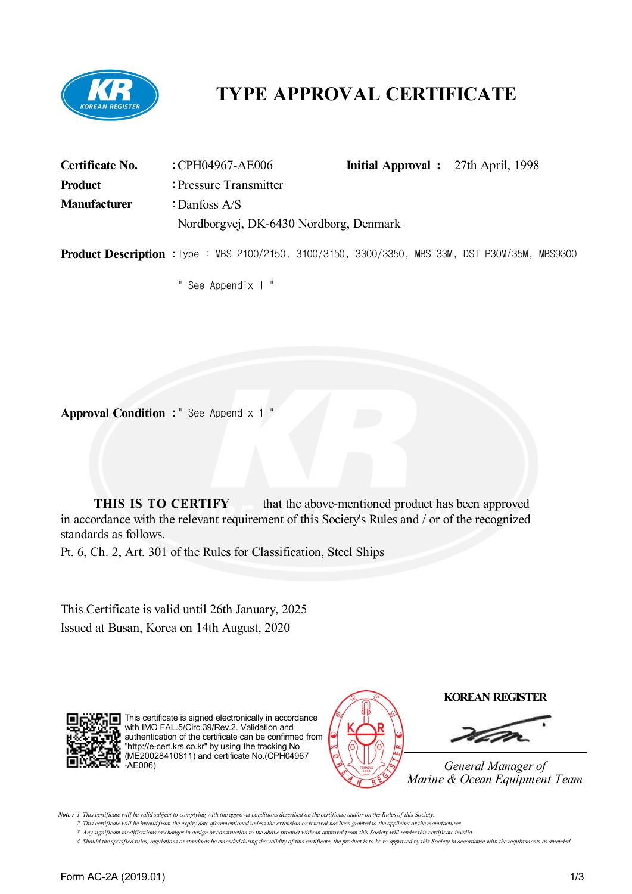

# **TYPE APPROVAL CERTIFICATE**

| <b>Certificate No.</b> | : CPH04967-AE006                                                                                       |  | <b>Initial Approval</b> : 27th April, 1998 |  |
|------------------------|--------------------------------------------------------------------------------------------------------|--|--------------------------------------------|--|
| <b>Product</b>         | : Pressure Transmitter                                                                                 |  |                                            |  |
| <b>Manufacturer</b>    | : Danfoss A/S                                                                                          |  |                                            |  |
|                        | Nordborgvej, DK-6430 Nordborg, Denmark                                                                 |  |                                            |  |
|                        | <b>Product Description :</b> Type: MBS 2100/2150, 3100/3150, 3300/3350, MBS 33M, DST P30M/35M, MBS9300 |  |                                            |  |

" See Appendix 1 "

**Approval Condition :** " See Appendix 1 "

**THIS IS TO CERTIFY** that the above-mentioned product has been approved in accordance with the relevant requirement of this Society's Rules and / or of the recognized standards as follows.

Pt. 6, Ch. 2, Art. 301 of the Rules for Classification, Steel Ships

This Certificate is valid until 26th January, 2025 Issued at Busan, Korea on 14th August, 2020



This certificate is signed electronically in accordance with IMO FAL.5/Circ.39/Rev.2. Validation and authentication of the certificate can be confirmed from "http://e-cert.krs.co.kr" by using the tracking No (ME20028410811) and certificate No.(CPH04967 -AE006).



*General Manager of Marine & Ocean Equipment Team*

Note: 1. This certificate will be valid subject to complying with the approval conditions described on the certificate and/or on the Rules of this Society.

3. Any significant modifications or changes in design or construction to the above product without approval from this Society will render this certificate invalid.

4. Should the specified rules, regulations or standards be amended during the validity of this certificate, the product is to be re-approved by this Society in accordance with the requirements as amended.

<sup>2.</sup> This certificate will be invalid from the expiry date aforementioned unless the extension or renewal has been granted to the applicant or the manufacturer.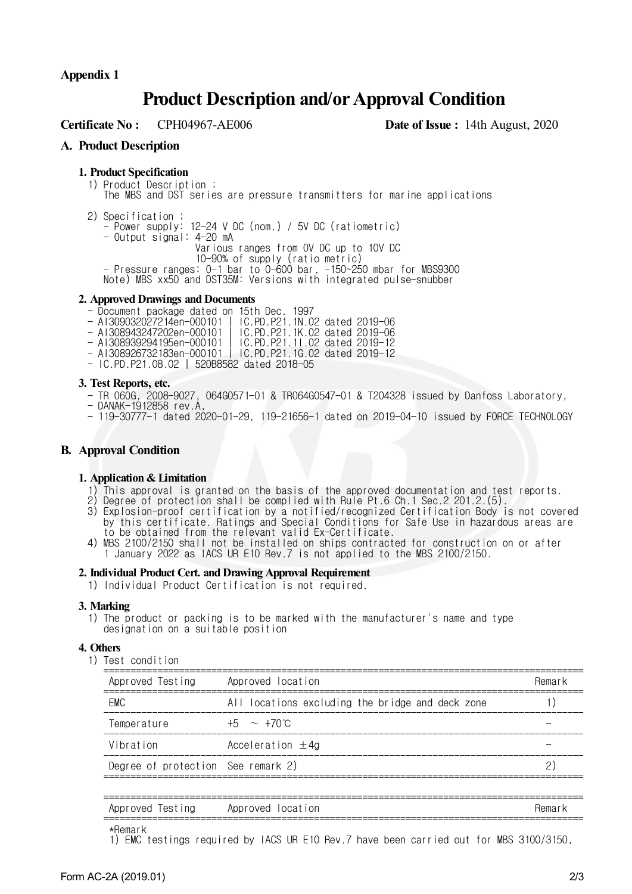**Appendix 1**

## **Product Description and/orApproval Condition**

**Certificate No :** CPH04967-AE006 **Date of Issue :** 14th August, 2020

## **A. Product Description**

### **1. Product Specification**

- 1) Product Description ; The MBS and DST series are pressure transmitters for marine applications
- 2) Specification ;
	- Power supply: 12-24 V DC (nom.) / 5V DC (ratiometric)
	- Output signal: 4-20 mA

Various ranges from 0V DC up to 10V DC

- 10-90% of supply (ratio metric)
- Pressure ranges: 0-1 bar to 0-600 bar, -150~250 mbar for MBS9300
- Note) MBS xx50 and DST35M: Versions with integrated pulse-snubber

#### **2. Approved Drawings and Documents**

- Document package dated on 15th Dec. 1997
- AI309032027214en-000101 | IC.PD.P21.1N.02 dated 2019-06
- AI308943247202en-000101 | IC.PD.P21.1K.02 dated 2019-06
- AI308939294195en-000101 | IC.PD.P21.1I.02 dated 2019-12
- AI308926732183en-000101 | IC.PD.P21.1G.02 dated 2019-12 - AI308926732183en-000101 | IC.PD.P21.1G.02<br>- IC.PD.P21.08.02 | 520B8582 dated 2018-05
- 

#### **3. Test Reports, etc.**

- TR 060G, 2008-9027, 064G0571-01 & TR064G0547-01 & T204328 issued by Danfoss Laboratory,
- DANAK-1912858 rev.A,
- 119-30777-1 dated 2020-01-29, 119-21656-1 dated on 2019-04-10 issued by FORCE TECHNOLOGY

## **B. Approval Condition**

#### **1. Application & Limitation**

- 1) This approval is granted on the basis of the approved documentation and test reports.
- 2) Degree of protection shall be complied with Rule Pt.6 Ch.1 Sec.2 201.2.(5).
- 3) Explosion-proof certification by a notified/recognized Certification Body is not covered by this certificate. Ratings and Special Conditions for Safe Use in hazardous areas are to be obtained from the relevant valid Ex-Certificate.
- 4) MBS 2100/2150 shall not be installed on ships contracted for construction on or after 1 January 2022 as IACS UR E10 Rev.7 is not applied to the MBS 2100/2150.

#### **2. Individual Product Cert. and Drawing Approval Requirement**

1) Individual Product Certification is not required.

## **3. Marking**

1) The product or packing is to be marked with the manufacturer's name and type designation on a suitable position

## **4. Others**

1) Test condition

| Approved Testing                   | Approved location                                | Remark |
|------------------------------------|--------------------------------------------------|--------|
| <b>FMC</b>                         | All locations excluding the bridge and deck zone |        |
| Temperature                        | $+5 \sim 170^{\circ}$ C                          |        |
| Vibration                          | Acceleration $\pm 4g$                            |        |
| Degree of protection See remark 2) |                                                  |        |
|                                    |                                                  |        |

| ___                       |                            |        |
|---------------------------|----------------------------|--------|
| rest.<br>Approved<br>i na | locat<br>Approved<br>i Ion | Hemar. |
|                           |                            |        |

\*Remark

1) EMC testings required by IACS UR E10 Rev.7 have been carried out for MBS 3100/3150,